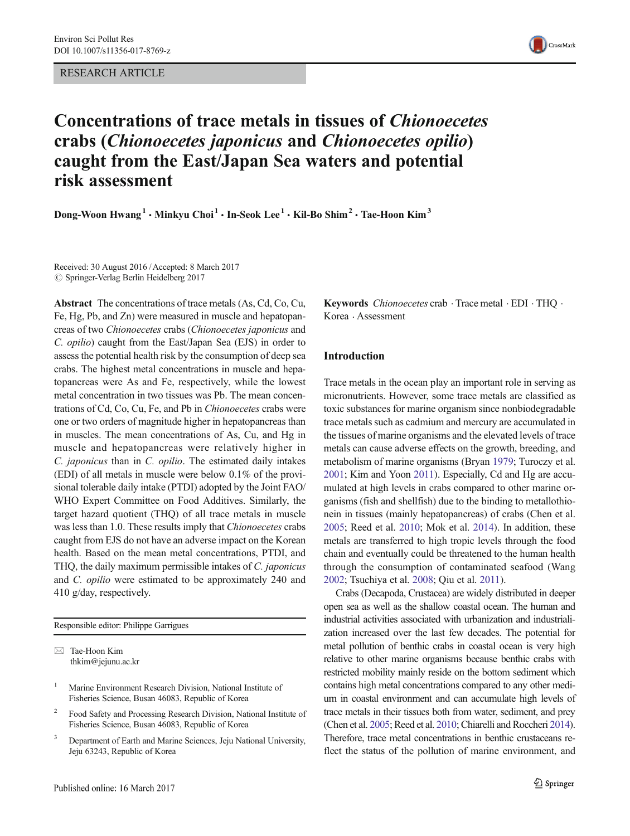RESEARCH ARTICLE



# Concentrations of trace metals in tissues of Chionoecetes crabs (Chionoecetes japonicus and Chionoecetes opilio) caught from the East/Japan Sea waters and potential risk assessment

Dong-Woon  $Hwang<sup>1</sup> \cdot Minkvu Choi<sup>1</sup> \cdot In-Seok Lee<sup>1</sup> \cdot Kil-Bo Shim<sup>2</sup> \cdot Tae-Hoon Kim<sup>3</sup>$ 

Received: 30 August 2016 /Accepted: 8 March 2017  $\oslash$  Springer-Verlag Berlin Heidelberg 2017

Abstract The concentrations of trace metals (As, Cd, Co, Cu, Fe, Hg, Pb, and Zn) were measured in muscle and hepatopancreas of two Chionoecetes crabs (Chionoecetes japonicus and C. opilio) caught from the East/Japan Sea (EJS) in order to assess the potential health risk by the consumption of deep sea crabs. The highest metal concentrations in muscle and hepatopancreas were As and Fe, respectively, while the lowest metal concentration in two tissues was Pb. The mean concentrations of Cd, Co, Cu, Fe, and Pb in Chionoecetes crabs were one or two orders of magnitude higher in hepatopancreas than in muscles. The mean concentrations of As, Cu, and Hg in muscle and hepatopancreas were relatively higher in C. japonicus than in C. opilio. The estimated daily intakes (EDI) of all metals in muscle were below 0.1% of the provisional tolerable daily intake (PTDI) adopted by the Joint FAO/ WHO Expert Committee on Food Additives. Similarly, the target hazard quotient (THQ) of all trace metals in muscle was less than 1.0. These results imply that *Chionoecetes* crabs caught from EJS do not have an adverse impact on the Korean health. Based on the mean metal concentrations, PTDI, and THQ, the daily maximum permissible intakes of C. japonicus and C. opilio were estimated to be approximately 240 and 410 g/day, respectively.

Responsible editor: Philippe Garrigues

- <sup>2</sup> Food Safety and Processing Research Division, National Institute of Fisheries Science, Busan 46083, Republic of Korea
- <sup>3</sup> Department of Earth and Marine Sciences, Jeju National University, Jeju 63243, Republic of Korea

Keywords *Chionoecetes* crab  $\cdot$  Trace metal  $\cdot$  EDI  $\cdot$  THQ  $\cdot$ Korea . Assessment

### Introduction

Trace metals in the ocean play an important role in serving as micronutrients. However, some trace metals are classified as toxic substances for marine organism since nonbiodegradable trace metals such as cadmium and mercury are accumulated in the tissues of marine organisms and the elevated levels of trace metals can cause adverse effects on the growth, breeding, and metabolism of marine organisms (Bryan [1979](#page-8-0); Turoczy et al. [2001;](#page-9-0) Kim and Yoon [2011\)](#page-8-0). Especially, Cd and Hg are accumulated at high levels in crabs compared to other marine organisms (fish and shellfish) due to the binding to metallothionein in tissues (mainly hepatopancreas) of crabs (Chen et al. [2005;](#page-8-0) Reed et al. [2010](#page-9-0); Mok et al. [2014\)](#page-8-0). In addition, these metals are transferred to high tropic levels through the food chain and eventually could be threatened to the human health through the consumption of contaminated seafood (Wang [2002;](#page-9-0) Tsuchiya et al. [2008;](#page-9-0) Qiu et al. [2011\)](#page-9-0).

Crabs (Decapoda, Crustacea) are widely distributed in deeper open sea as well as the shallow coastal ocean. The human and industrial activities associated with urbanization and industrialization increased over the last few decades. The potential for metal pollution of benthic crabs in coastal ocean is very high relative to other marine organisms because benthic crabs with restricted mobility mainly reside on the bottom sediment which contains high metal concentrations compared to any other medium in coastal environment and can accumulate high levels of trace metals in their tissues both from water, sediment, and prey (Chen et al. [2005;](#page-8-0) Reed et al. [2010;](#page-9-0) Chiarelli and Roccheri [2014\)](#page-8-0). Therefore, trace metal concentrations in benthic crustaceans reflect the status of the pollution of marine environment, and

 $\boxtimes$  Tae-Hoon Kim thkim@jejunu.ac.kr

<sup>&</sup>lt;sup>1</sup> Marine Environment Research Division, National Institute of Fisheries Science, Busan 46083, Republic of Korea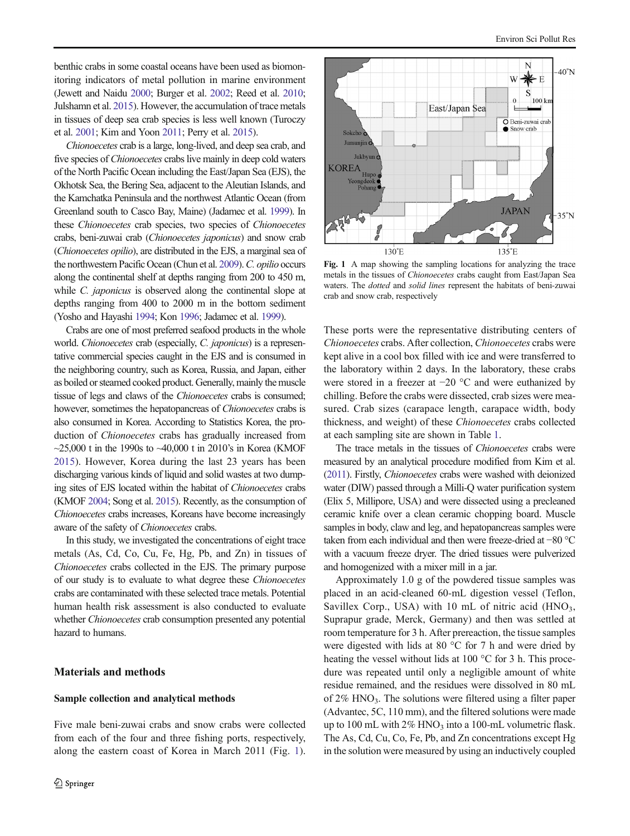benthic crabs in some coastal oceans have been used as biomonitoring indicators of metal pollution in marine environment (Jewett and Naidu [2000](#page-8-0); Burger et al. [2002;](#page-8-0) Reed et al. [2010](#page-9-0); Julshamn et al. [2015\)](#page-8-0). However, the accumulation of trace metals in tissues of deep sea crab species is less well known (Turoczy et al. [2001](#page-9-0); Kim and Yoon [2011](#page-8-0); Perry et al. [2015\)](#page-8-0).

Chionoecetes crab is a large, long-lived, and deep sea crab, and five species of *Chionoecetes* crabs live mainly in deep cold waters of the North Pacific Ocean including the East/Japan Sea (EJS), the Okhotsk Sea, the Bering Sea, adjacent to the Aleutian Islands, and the Kamchatka Peninsula and the northwest Atlantic Ocean (from Greenland south to Casco Bay, Maine) (Jadamec et al. [1999](#page-8-0)). In these Chionoecetes crab species, two species of Chionoecetes crabs, beni-zuwai crab (Chionoecetes japonicus) and snow crab (Chionoecetes opilio), are distributed in the EJS, a marginal sea of the northwestern Pacific Ocean (Chun et al. [2009\)](#page-8-0). C. opilio occurs along the continental shelf at depths ranging from 200 to 450 m, while *C. japonicus* is observed along the continental slope at depths ranging from 400 to 2000 m in the bottom sediment (Yosho and Hayashi [1994](#page-9-0); Kon [1996](#page-8-0); Jadamec et al. [1999](#page-8-0)).

Crabs are one of most preferred seafood products in the whole world. Chionoecetes crab (especially, C. japonicus) is a representative commercial species caught in the EJS and is consumed in the neighboring country, such as Korea, Russia, and Japan, either as boiled or steamed cooked product. Generally, mainly the muscle tissue of legs and claws of the Chionoecetes crabs is consumed; however, sometimes the hepatopancreas of Chionoecetes crabs is also consumed in Korea. According to Statistics Korea, the production of Chionoecetes crabs has gradually increased from  $\sim$ 25,000 t in the 1990s to  $\sim$ 40,000 t in 2010's in Korea (KMOF) [2015\)](#page-8-0). However, Korea during the last 23 years has been discharging various kinds of liquid and solid wastes at two dumping sites of EJS located within the habitat of Chionoecetes crabs (KMOF [2004;](#page-8-0) Song et al. [2015\)](#page-9-0). Recently, as the consumption of Chionoecetes crabs increases, Koreans have become increasingly aware of the safety of Chionoecetes crabs.

In this study, we investigated the concentrations of eight trace metals (As, Cd, Co, Cu, Fe, Hg, Pb, and Zn) in tissues of Chionoecetes crabs collected in the EJS. The primary purpose of our study is to evaluate to what degree these Chionoecetes crabs are contaminated with these selected trace metals. Potential human health risk assessment is also conducted to evaluate whether *Chionoecetes* crab consumption presented any potential hazard to humans.

## Materials and methods

#### Sample collection and analytical methods

Five male beni-zuwai crabs and snow crabs were collected from each of the four and three fishing ports, respectively, along the eastern coast of Korea in March 2011 (Fig. 1).



Fig. 1 A map showing the sampling locations for analyzing the trace metals in the tissues of Chionoecetes crabs caught from East/Japan Sea waters. The dotted and solid lines represent the habitats of beni-zuwai crab and snow crab, respectively

These ports were the representative distributing centers of Chionoecetes crabs. After collection, Chionoecetes crabs were kept alive in a cool box filled with ice and were transferred to the laboratory within 2 days. In the laboratory, these crabs were stored in a freezer at −20 °C and were euthanized by chilling. Before the crabs were dissected, crab sizes were measured. Crab sizes (carapace length, carapace width, body thickness, and weight) of these Chionoecetes crabs collected at each sampling site are shown in Table [1.](#page-2-0)

The trace metals in the tissues of *Chionoecetes* crabs were measured by an analytical procedure modified from Kim et al. [\(2011\)](#page-8-0). Firstly, Chionoecetes crabs were washed with deionized water (DIW) passed through a Milli-Q water purification system (Elix 5, Millipore, USA) and were dissected using a precleaned ceramic knife over a clean ceramic chopping board. Muscle samples in body, claw and leg, and hepatopancreas samples were taken from each individual and then were freeze-dried at −80 °C with a vacuum freeze dryer. The dried tissues were pulverized and homogenized with a mixer mill in a jar.

Approximately 1.0 g of the powdered tissue samples was placed in an acid-cleaned 60-mL digestion vessel (Teflon, Savillex Corp., USA) with 10 mL of nitric acid  $(HNO<sub>3</sub>)$ , Suprapur grade, Merck, Germany) and then was settled at room temperature for 3 h. After prereaction, the tissue samples were digested with lids at 80 °C for 7 h and were dried by heating the vessel without lids at 100 °C for 3 h. This procedure was repeated until only a negligible amount of white residue remained, and the residues were dissolved in 80 mL of  $2\%$  HNO<sub>3</sub>. The solutions were filtered using a filter paper (Advantec, 5C, 110 mm), and the filtered solutions were made up to 100 mL with  $2\%$  HNO<sub>3</sub> into a 100-mL volumetric flask. The As, Cd, Cu, Co, Fe, Pb, and Zn concentrations except Hg in the solution were measured by using an inductively coupled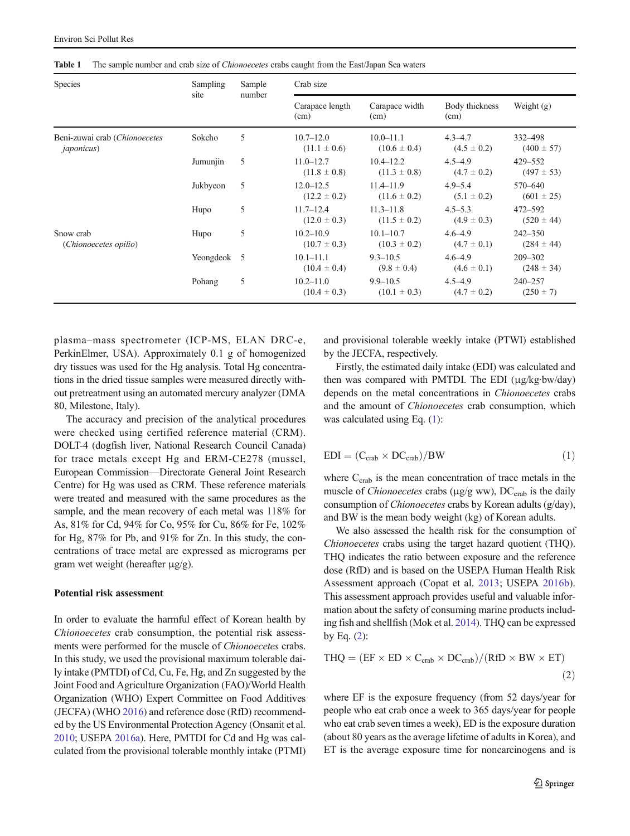<span id="page-2-0"></span>Table 1 The sample number and crab size of *Chionoecetes* crabs caught from the East/Japan Sea waters

| <b>Species</b>                                      | Sampling    | Sample | Crab size                         |                                   |                                |                               |  |  |  |  |  |
|-----------------------------------------------------|-------------|--------|-----------------------------------|-----------------------------------|--------------------------------|-------------------------------|--|--|--|--|--|
|                                                     | site        | number | Carapace length<br>(cm)           | Carapace width<br>(cm)            | Body thickness<br>(cm)         | Weight $(g)$                  |  |  |  |  |  |
| Beni-zuwai crab (Chionoecetes<br><i>japonicus</i> ) | Sokcho      | 5      | $10.7 - 12.0$<br>$(11.1 \pm 0.6)$ | $10.0 - 11.1$<br>$(10.6 \pm 0.4)$ | $4.3 - 4.7$<br>$(4.5 \pm 0.2)$ | 332–498<br>$(400 \pm 57)$     |  |  |  |  |  |
|                                                     | Jumunjin    | 5      | $11.0 - 12.7$<br>$(11.8 \pm 0.8)$ | $10.4 - 12.2$<br>$(11.3 \pm 0.8)$ | $4.5 - 4.9$<br>$(4.7 \pm 0.2)$ | $429 - 552$<br>$(497 \pm 53)$ |  |  |  |  |  |
|                                                     | Jukbyeon    | 5      | $12.0 - 12.5$<br>$(12.2 \pm 0.2)$ | $11.4 - 11.9$<br>$(11.6 \pm 0.2)$ | $4.9 - 5.4$<br>$(5.1 \pm 0.2)$ | 570-640<br>$(601 \pm 25)$     |  |  |  |  |  |
|                                                     | Hupo        | 5      | $11.7 - 12.4$<br>$(12.0 \pm 0.3)$ | $11.3 - 11.8$<br>$(11.5 \pm 0.2)$ | $4.5 - 5.3$<br>$(4.9 \pm 0.3)$ | 472-592<br>$(520 \pm 44)$     |  |  |  |  |  |
| Snow crab<br>(Chionoecetes opilio)                  | Hupo        | 5      | $10.2 - 10.9$<br>$(10.7 \pm 0.3)$ | $10.1 - 10.7$<br>$(10.3 \pm 0.2)$ | $4.6 - 4.9$<br>$(4.7 \pm 0.1)$ | $242 - 350$<br>$(284 \pm 44)$ |  |  |  |  |  |
|                                                     | Yeongdeok 5 |        | $10.1 - 11.1$<br>$(10.4 \pm 0.4)$ | $9.3 - 10.5$<br>$(9.8 \pm 0.4)$   | $4.6 - 4.9$<br>$(4.6 \pm 0.1)$ | $209 - 302$<br>$(248 \pm 34)$ |  |  |  |  |  |
|                                                     | Pohang      | 5      | $10.2 - 11.0$<br>$(10.4 \pm 0.3)$ | $9.9 - 10.5$<br>$(10.1 \pm 0.3)$  | $4.5 - 4.9$<br>$(4.7 \pm 0.2)$ | $240 - 257$<br>$(250 \pm 7)$  |  |  |  |  |  |

plasma–mass spectrometer (ICP-MS, ELAN DRC-e, PerkinElmer, USA). Approximately 0.1 g of homogenized dry tissues was used for the Hg analysis. Total Hg concentrations in the dried tissue samples were measured directly without pretreatment using an automated mercury analyzer (DMA 80, Milestone, Italy).

The accuracy and precision of the analytical procedures were checked using certified reference material (CRM). DOLT-4 (dogfish liver, National Research Council Canada) for trace metals except Hg and ERM-CE278 (mussel, European Commission—Directorate General Joint Research Centre) for Hg was used as CRM. These reference materials were treated and measured with the same procedures as the sample, and the mean recovery of each metal was 118% for As, 81% for Cd, 94% for Co, 95% for Cu, 86% for Fe, 102% for Hg, 87% for Pb, and 91% for Zn. In this study, the concentrations of trace metal are expressed as micrograms per gram wet weight (hereafter μg/g).

#### Potential risk assessment

In order to evaluate the harmful effect of Korean health by Chionoecetes crab consumption, the potential risk assessments were performed for the muscle of Chionoecetes crabs. In this study, we used the provisional maximum tolerable daily intake (PMTDI) of Cd, Cu, Fe, Hg, and Zn suggested by the Joint Food and Agriculture Organization (FAO)/World Health Organization (WHO) Expert Committee on Food Additives (JECFA) (WHO [2016\)](#page-9-0) and reference dose (RfD) recommended by the US Environmental Protection Agency (Onsanit et al. [2010;](#page-8-0) USEPA [2016a](#page-9-0)). Here, PMTDI for Cd and Hg was calculated from the provisional tolerable monthly intake (PTMI) and provisional tolerable weekly intake (PTWI) established by the JECFA, respectively.

Firstly, the estimated daily intake (EDI) was calculated and then was compared with PMTDI. The EDI (μg/kg·bw/day) depends on the metal concentrations in Chionoecetes crabs and the amount of *Chionoecetes* crab consumption, which was calculated using Eq. (1):

$$
EDI = (C_{\rm{crab}} \times DC_{\rm{crab}})/BW
$$
 (1)

where  $C_{\text{crab}}$  is the mean concentration of trace metals in the muscle of *Chionoecetes* crabs ( $\mu$ g/g ww), DC<sub>crab</sub> is the daily consumption of Chionoecetes crabs by Korean adults (g/day), and BW is the mean body weight (kg) of Korean adults.

We also assessed the health risk for the consumption of Chionoecetes crabs using the target hazard quotient (THQ). THQ indicates the ratio between exposure and the reference dose (RfD) and is based on the USEPA Human Health Risk Assessment approach (Copat et al. [2013](#page-8-0); USEPA [2016b\)](#page-9-0). This assessment approach provides useful and valuable information about the safety of consuming marine products including fish and shellfish (Mok et al. [2014](#page-8-0)). THQ can be expressed by Eq.  $(2)$ :

$$
\text{THQ} = (\text{EF} \times \text{ED} \times \text{C}_{\text{crab}} \times \text{DC}_{\text{crab}}) / (\text{RfD} \times \text{BW} \times \text{ET}) \tag{2}
$$

where EF is the exposure frequency (from 52 days/year for people who eat crab once a week to 365 days/year for people who eat crab seven times a week), ED is the exposure duration (about 80 years as the average lifetime of adults in Korea), and ET is the average exposure time for noncarcinogens and is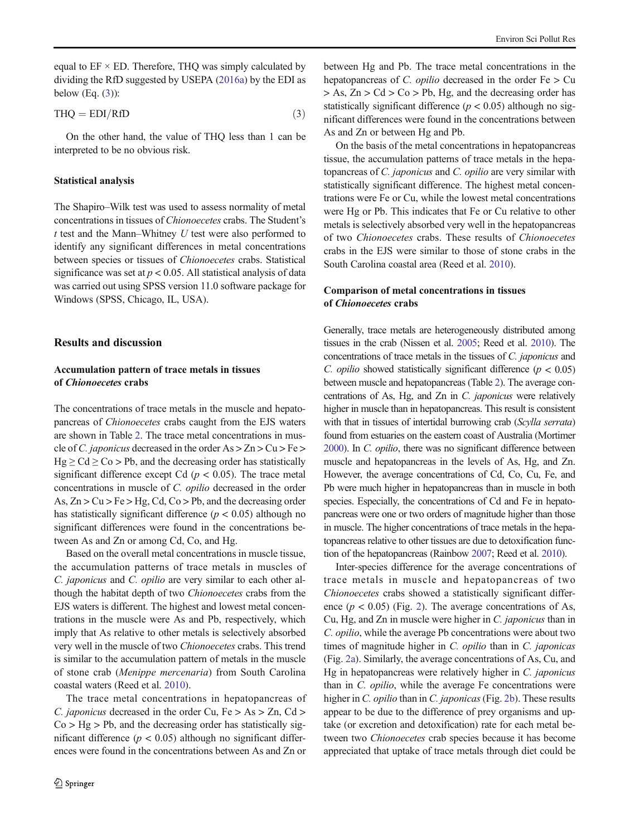<span id="page-3-0"></span>equal to  $EF \times ED$ . Therefore, THQ was simply calculated by dividing the RfD suggested by USEPA [\(2016a\)](#page-9-0) by the EDI as below  $(Eq. (3))$ :

$$
THQ = EDI/RfD \tag{3}
$$

On the other hand, the value of THQ less than 1 can be interpreted to be no obvious risk.

#### Statistical analysis

The Shapiro–Wilk test was used to assess normality of metal concentrations in tissues of Chionoecetes crabs. The Student's  $t$  test and the Mann–Whitney  $U$  test were also performed to identify any significant differences in metal concentrations between species or tissues of Chionoecetes crabs. Statistical significance was set at  $p < 0.05$ . All statistical analysis of data was carried out using SPSS version 11.0 software package for Windows (SPSS, Chicago, IL, USA).

#### Results and discussion

## Accumulation pattern of trace metals in tissues of Chionoecetes crabs

The concentrations of trace metals in the muscle and hepatopancreas of Chionoecetes crabs caught from the EJS waters are shown in Table [2.](#page-4-0) The trace metal concentrations in muscle of C. japonicus decreased in the order As > Zn > Cu > Fe >  $Hg \geq Cd \geq Co > Pb$ , and the decreasing order has statistically significant difference except Cd ( $p < 0.05$ ). The trace metal concentrations in muscle of C. opilio decreased in the order As,  $Zn > Cu > Fe > Hg$ ,  $Cd$ ,  $Co > Pb$ , and the decreasing order has statistically significant difference ( $p < 0.05$ ) although no significant differences were found in the concentrations between As and Zn or among Cd, Co, and Hg.

Based on the overall metal concentrations in muscle tissue, the accumulation patterns of trace metals in muscles of C. japonicus and C. opilio are very similar to each other although the habitat depth of two Chionoecetes crabs from the EJS waters is different. The highest and lowest metal concentrations in the muscle were As and Pb, respectively, which imply that As relative to other metals is selectively absorbed very well in the muscle of two Chionoecetes crabs. This trend is similar to the accumulation pattern of metals in the muscle of stone crab (Menippe mercenaria) from South Carolina coastal waters (Reed et al. [2010](#page-9-0)).

The trace metal concentrations in hepatopancreas of C. *japonicus* decreased in the order Cu,  $Fe > As > Zn$ , Cd >  $Co > Hg > Pb$ , and the decreasing order has statistically significant difference ( $p < 0.05$ ) although no significant differences were found in the concentrations between As and Zn or

between Hg and Pb. The trace metal concentrations in the hepatopancreas of C. *opilio* decreased in the order  $Fe > Cu$  $> As$ ,  $Zn > Cd > Co > Pb$ , Hg, and the decreasing order has statistically significant difference ( $p < 0.05$ ) although no significant differences were found in the concentrations between As and Zn or between Hg and Pb.

On the basis of the metal concentrations in hepatopancreas tissue, the accumulation patterns of trace metals in the hepatopancreas of C. japonicus and C. opilio are very similar with statistically significant difference. The highest metal concentrations were Fe or Cu, while the lowest metal concentrations were Hg or Pb. This indicates that Fe or Cu relative to other metals is selectively absorbed very well in the hepatopancreas of two Chionoecetes crabs. These results of Chionoecetes crabs in the EJS were similar to those of stone crabs in the South Carolina coastal area (Reed et al. [2010](#page-9-0)).

# Comparison of metal concentrations in tissues of Chionoecetes crabs

Generally, trace metals are heterogeneously distributed among tissues in the crab (Nissen et al. [2005](#page-8-0); Reed et al. [2010\)](#page-9-0). The concentrations of trace metals in the tissues of C. japonicus and C. *opilio* showed statistically significant difference ( $p < 0.05$ ) between muscle and hepatopancreas (Table [2\)](#page-4-0). The average concentrations of As, Hg, and Zn in C. japonicus were relatively higher in muscle than in hepatopancreas. This result is consistent with that in tissues of intertidal burrowing crab (Scylla serrata) found from estuaries on the eastern coast of Australia (Mortimer [2000\)](#page-8-0). In C. opilio, there was no significant difference between muscle and hepatopancreas in the levels of As, Hg, and Zn. However, the average concentrations of Cd, Co, Cu, Fe, and Pb were much higher in hepatopancreas than in muscle in both species. Especially, the concentrations of Cd and Fe in hepatopancreas were one or two orders of magnitude higher than those in muscle. The higher concentrations of trace metals in the hepatopancreas relative to other tissues are due to detoxification function of the hepatopancreas (Rainbow [2007;](#page-9-0) Reed et al. [2010](#page-9-0)).

Inter-species difference for the average concentrations of trace metals in muscle and hepatopancreas of two Chionoecetes crabs showed a statistically significant difference  $(p < 0.05)$  (Fig. [2](#page-5-0)). The average concentrations of As, Cu, Hg, and Zn in muscle were higher in C. japonicus than in C. opilio, while the average Pb concentrations were about two times of magnitude higher in C. *opilio* than in C. *japonicas* (Fig. [2a\)](#page-5-0). Similarly, the average concentrations of As, Cu, and Hg in hepatopancreas were relatively higher in C. japonicus than in C. opilio, while the average Fe concentrations were higher in *C. opilio* than in *C. japonicas* (Fig. [2b\)](#page-5-0). These results appear to be due to the difference of prey organisms and uptake (or excretion and detoxification) rate for each metal between two Chionoecetes crab species because it has become appreciated that uptake of trace metals through diet could be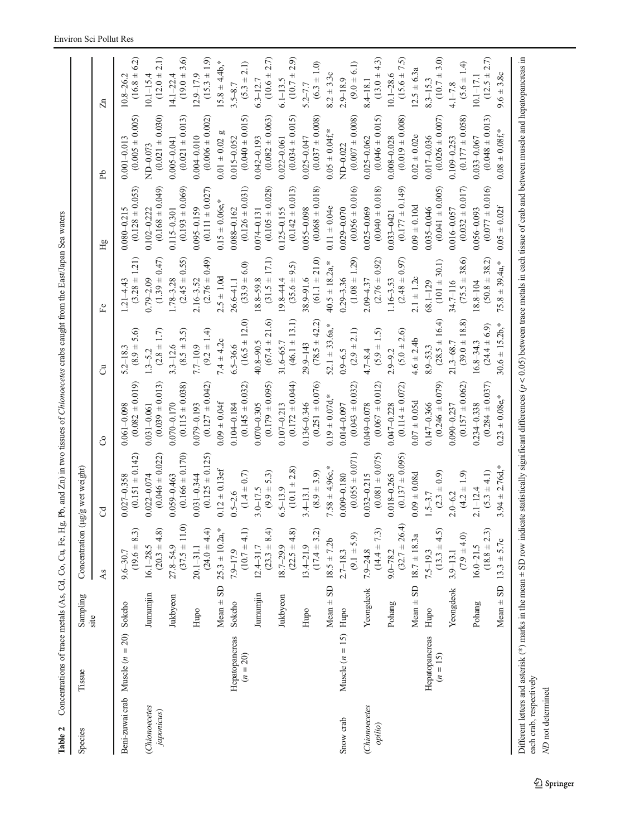| ļ<br>j<br>$\frac{1}{2}$<br>$\sim$ Dh and $7\omega$ in<br>l<br>こっこ<br>)<br>J<br>J |  |
|----------------------------------------------------------------------------------|--|
|                                                                                  |  |
|                                                                                  |  |

<span id="page-4-0"></span>

| Species                     | Tissue                                     | Sampling<br>site | Concentration                      | (µg/g wet weight)                      |                                                                                                                                                                                                                    |                                     |                                               |                                        |                                        |                                    |
|-----------------------------|--------------------------------------------|------------------|------------------------------------|----------------------------------------|--------------------------------------------------------------------------------------------------------------------------------------------------------------------------------------------------------------------|-------------------------------------|-----------------------------------------------|----------------------------------------|----------------------------------------|------------------------------------|
|                             |                                            |                  | As                                 | $\mathcal{S}$                          | S                                                                                                                                                                                                                  | ්                                   | Fe                                            | Нg                                     | ЪP                                     | $\mathbb{Z}^n$                     |
|                             | Beni-zuwai crab Muscle ( $n = 20$ ) Sokcho |                  | $(19.6 \pm 8.3)$<br>$9.6 - 30.7$   | $(0.151 \pm 0.142)$<br>$0.027 - 0.358$ | $(0.082 \pm 0.019)$<br>$0.061 - 0.098$                                                                                                                                                                             | 5.6)<br>$6.8 +$<br>$5.2 - 18.3$     | $\overline{21}$<br>$(3.28 +$<br>$1.21 - 4.43$ | $(0.128 \pm 0.053)$<br>$0.080 - 0.215$ | $(0.005 \pm 0.005)$<br>$0.001 - 0.01$  | 6.2)<br>$(16.8 +$<br>$10.8 - 26.2$ |
| (Chionoecetes<br>japonicus) |                                            | Jumumjin         | $(20.3 \pm 4.8)$<br>$16.1 - 28.5$  | $(0.046 \pm 0.022)$<br>$0.022 - 0.074$ | $(0.039 \pm 0.013)$<br>$0.031 - 0.061$                                                                                                                                                                             | 1.7<br>$(2.8 + 1)$<br>$1.3 - 5.2$   | (147)<br>$(1.39 +$<br>$0.79 - 2.09$           | $(0.168 \pm 0.049)$<br>0.102-0.222     | $(0.021 \pm 0.030)$<br>ND-0.073        | 2.1)<br>$(12.0 +$<br>$10.1 - 15.4$ |
|                             |                                            | Jukbyeon         | $(37.5 \pm 11.0)$<br>$27.8 - 54.9$ | $(0.166 \pm 0.170)$<br>$0.059 - 0.463$ | $(0.115 \pm 0.038)$<br>$0.070 - 0.170$                                                                                                                                                                             | $(8.5 \pm 3.5)$<br>$3.3 - 12.6$     | 0.55)<br>$(2.45 +$<br>$1.78 - 3.28$           | $(0.193 \pm 0.069)$<br>$0.115 - 0.301$ | $(0.021 \pm 0.013)$<br>$0.005 - 0.041$ | 3.6)<br>$(19.0 +$<br>$14.1 - 22.4$ |
|                             |                                            | Hupo             | $(24.0 \pm 4.4)$<br>$20.1 - 31.1$  | $(0.125 \pm 0.125)$<br>$0.031 - 0.344$ | $(0.127 \pm 0.042)$<br>$0.079 - 0.193$                                                                                                                                                                             | $(9.2 \pm 1.4)$<br>$7.7 - 10.9$     | (64.0)<br>$(2.76 +$<br>$2.16 - 3.52$          | $(0.111 \pm 0.027)$<br>$0.095 - 0.159$ | $(0.006 \pm 0.002)$<br>$0.004 - 0.010$ | $(15.3 \pm 1.9)$<br>$12.9 - 17.9$  |
|                             |                                            | $Mean \pm SD$    | $25.3 \pm 10.2$ a,*                | $0.12 \pm 0.13$ ef                     | $0.09 \pm 0.04$ f                                                                                                                                                                                                  | $7.4 \pm 4.2c$                      | $2.5 \pm 1.0d$                                | $0.15 \pm 0.06$ e,*                    | œ<br>$0.01 + 0.02$                     | $15.8 \pm 4.4b$ ,*                 |
|                             | Hepatopancreas<br>$(n = 20)$               | Sokcho           | $(10.7 \pm 4.1)$<br>$7.9 - 17.9$   | $(1.4 \pm 0.7)$<br>$0.5 - 2.6$         | $(0.145 \pm 0.032)$<br>$0.104 - 0.184$                                                                                                                                                                             | $(16.5 \pm 12.0)$<br>$6.5 - 36.6$   | 6.0)<br>$(33.9 +$<br>$26.6 - 41.1$            | $(0.126 \pm 0.031)$<br>$0.088 - 0.162$ | $(0.040 \pm 0.015)$<br>$0.015 - 0.052$ | 2.1)<br>$(5.3 +$<br>$3.5 - 8.7$    |
|                             |                                            | Jumumjin         | $(23.3 \pm 8.4)$<br>$12.4 - 31.7$  | 5.3)<br>$(9.9 +$<br>$3.0 - 17.5$       | $(0.179 \pm 0.095)$<br>$0.070 - 0.305$                                                                                                                                                                             | 21.6)<br>$(67.4 +$<br>$40.8 - 90.5$ | 17.1)<br>$(31.5 \pm$<br>$18.8 - 59.8$         | $(0.105 \pm 0.028)$<br>0.074-0.131     | $(0.082 \pm 0.063)$<br>0.042-0.193     | $(10.6 \pm 2.7)$<br>$6.3 - 12.7$   |
|                             |                                            | Jukbyeon         | $(22.5 \pm 4.8)$<br>$18.7 - 29.9$  | $(10.1 \pm 2.8)$<br>$6.5 - 13.9$       | $(0.172 \pm 0.044)$<br>$0.107 - 0.213$                                                                                                                                                                             | $(46.1 \pm 13.1)$<br>$31.6 - 65.7$  | 9.5)<br>$(35.6 +$<br>$19.8 - 44.4$            | $(0.142 \pm 0.013)$<br>$0.125 - 0.155$ | $(0.034 \pm 0.015)$<br>$0.022 - 0.061$ | $(10.7 \pm 2.9)$<br>$6.1 - 13.5$   |
|                             |                                            | Hupo             | $(17.4 \pm 3.2)$<br>$13.4 - 21.9$  | $(8.9 \pm 3.9)$<br>$3.4 - 13.1$        | $(0.251 \pm 0.076)$<br>$0.136 - 0.346$                                                                                                                                                                             | $(78.5 \pm 42.2)$<br>$29.9 - 143$   | $(61.1 \pm 21.0)$<br>$38.9 - 91.6$            | $(0.068 \pm 0.018)$<br>0.055-0.098     | $(0.037 \pm 0.008)$<br>$0.025 - 0.047$ | $(6.3 \pm 1.0)$<br>$5.2 - 7.7$     |
|                             |                                            |                  | Mean $\pm$ SD 18.5 $\pm$ 7.2b      | $7.58 \pm 4.96c$ ,*                    | $0.19 \pm 0.07$ d,*                                                                                                                                                                                                | $52.1 \pm 33.6a$ ,*                 | $40.5 \pm 18.2a$ ,*                           | $0.11 \pm 0.04e$                       | $0.05 \pm 0.04$ f,*                    | $8.2 \pm 3.3c$                     |
| Snow crab                   | Muscle $(n = 15)$ Hupo                     |                  | $(9.1 \pm 5.9)$<br>$2.7 - 18.3$    | $(0.055 \pm 0.071)$<br>$0.009 - 0.180$ | $(0.043 \pm 0.032)$<br>0.014-0.097                                                                                                                                                                                 | 2.1)<br>$(2.9 +$<br>$0.9 - 6.5$     | $(1.08 \pm 1.29)$<br>$0.29 - 3.36$            | $(0.056 \pm 0.016)$<br>0.029-0.070     | $(0.007 + 0.008)$<br>ND-0.022          | $(9.0 \pm 6.1)$<br>$2.9 - 18.9$    |
| (Chionoecetes<br>opilio)    |                                            | Yeongdeok        | $(14.4 \pm 7.3)$<br>$7.9 - 24.8$   | $(0.081 \pm 0.075)$<br>$0.032 - 0.215$ | $(0.067 \pm 0.012)$<br>0.049-0.078                                                                                                                                                                                 | $(5.9 \pm 1.5)$<br>$4.7 - 8.4$      | $(2.76 \pm 0.92)$<br>$2.09 - 4.37$            | $(0.040 \pm 0.018)$<br>$0.025 - 0.069$ | $(0.046 \pm 0.015)$<br>$0.025 - 0.062$ | $(13.0 \pm 4.3)$<br>$8.4 - 18.1$   |
|                             |                                            | Pohang           | $(32.7 \pm 26.4)$<br>$9.0 - 78.2$  | $(0.137 \pm 0.095)$<br>$0.018 - 0.265$ | $(0.114 \pm 0.072)$<br>$0.047 - 0.228$                                                                                                                                                                             | $(5.0 \pm 2.6)$<br>$2.9 - 9.2$      | $(2.48 \pm 0.97)$<br>$1.16 - 3.53$            | $(0.177 \pm 0.149)$<br>0.033-0421      | $(0.019 \pm 0.008)$<br>0.008-0.028     | $(15.6 \pm 7.5)$<br>$10.1 - 28.6$  |
|                             |                                            |                  | Mean $\pm$ SD 18.7 $\pm$ 18.3a     | $0.09 \pm 0.08d$                       | $0.07 \pm 0.05d$                                                                                                                                                                                                   | $4.6 \pm 2.4b$                      | $2.1 \pm 1.2c$                                | $0.09 \pm 0.10d$                       | $0.02 \pm 0.02e$                       | $12.5 \pm 6.3a$                    |
|                             | Hepatopancreas<br>$(n = 15)$               | Hupo             | $(13.3 \pm 4.5)$<br>$7.5 - 19.3$   | $(2.3 \pm 0.9)$<br>$1.5 - 3.7$         | $(0.246 \pm 0.079)$<br>$0.147 - 0.366$                                                                                                                                                                             | $(28.5 \pm 16.4)$<br>$8.9 - 53.3$   | $(101 \pm 30.1)$<br>68.1-129                  | $(0.041 \pm 0.005)$<br>$0.035 - 0.046$ | $(0.026 \pm 0.007)$<br>0.017-0.036     | $(10.7 \pm 3.0)$<br>$8.3 - 15.3$   |
|                             |                                            | Yeongdeok        | $(7.9 \pm 4.0)$<br>$3.9 - 13.1$    | $(4.2 \pm 1.9)$<br>$2.0 - 6.2$         | $(0.157 \pm 0.062)$<br>$0.090 - 0.237$                                                                                                                                                                             | $(39.0 \pm 18.8)$<br>$21.3 - 68.7$  | 38.6)<br>$(75.5 \pm$<br>34.7-116              | $(0.032 \pm 0.017)$<br>$0.016 - 0.057$ | $(0.177 \pm 0.058)$<br>$0.109 - 0.253$ | $(5.6 \pm 1.4)$<br>$4.1 - 7.8$     |
|                             |                                            | Pohang           | $(18.8 \pm 2.3)$<br>$16.0 - 21.5$  | $(5.3 \pm 4.1)$<br>$2.1 - 12.4$        | $(0.284 \pm 0.037)$<br>$0.234 - 0.338$                                                                                                                                                                             | $(24.4 \pm 6.9)$<br>$16.8 - 34.3$   | $(50.8 \pm 38.2)$<br>18.8-104                 | $(0.077 \pm 0.016)$<br>0.056-0.093     | $(0.048 \pm 0.013)$<br>0.033-0.067     | $(12.5 \pm 2.7)$<br>$10.1 - 17.1$  |
|                             |                                            | $Mean \pm SD$    | $13.3 \pm 5.7c$                    | $3.94 \pm 2.76d$ ,*                    | $0.23 \pm 0.08$ e,*                                                                                                                                                                                                | $30.6 \pm 15.2b$ ,*                 | $75.8 \pm 39.4a$ ,*                           | $0.05 \pm 0.02$ f                      | $0.08 \pm 0.08$ f,*                    | $9.6 \pm 3.8c$                     |
|                             |                                            |                  |                                    |                                        | Different letters and asterisk (*) marks in the mean $\pm$ SD row indicate statistically significant differences ( $n < 0.05$ ) between trace meals in each issue of crab and between muscle and henatonancreas in |                                     |                                               |                                        |                                        |                                    |

ND not determined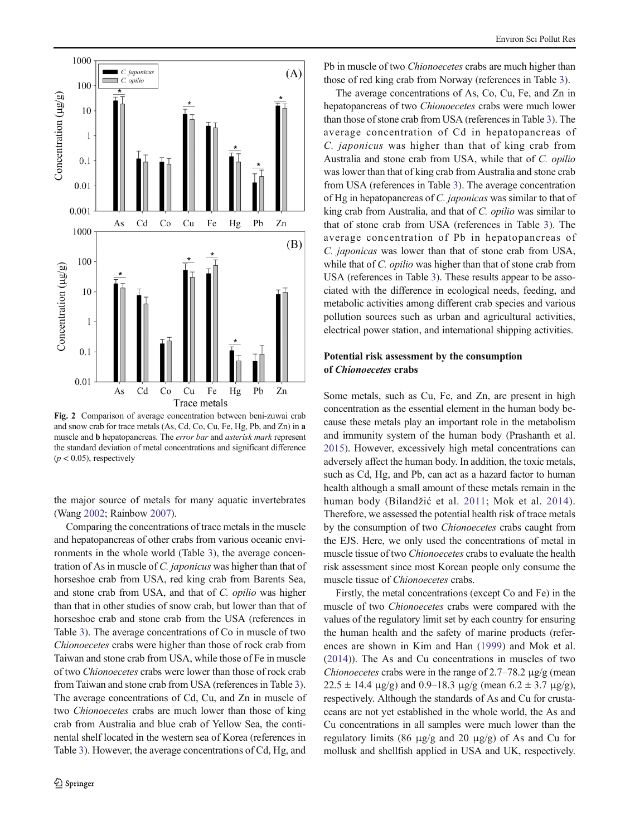<span id="page-5-0"></span>

Fig. 2 Comparison of average concentration between beni-zuwai crab and snow crab for trace metals (As, Cd, Co, Cu, Fe, Hg, Pb, and Zn) in a muscle and b hepatopancreas. The error bar and asterisk mark represent the standard deviation of metal concentrations and significant difference  $(p < 0.05)$ , respectively

the major source of metals for many aquatic invertebrates (Wang [2002;](#page-9-0) Rainbow [2007\)](#page-9-0).

Comparing the concentrations of trace metals in the muscle and hepatopancreas of other crabs from various oceanic environments in the whole world (Table [3](#page-6-0)), the average concentration of As in muscle of C. japonicus was higher than that of horseshoe crab from USA, red king crab from Barents Sea, and stone crab from USA, and that of C. opilio was higher than that in other studies of snow crab, but lower than that of horseshoe crab and stone crab from the USA (references in Table [3](#page-6-0)). The average concentrations of Co in muscle of two Chionoecetes crabs were higher than those of rock crab from Taiwan and stone crab from USA, while those of Fe in muscle of two Chionoecetes crabs were lower than those of rock crab from Taiwan and stone crab from USA (references in Table [3\)](#page-6-0). The average concentrations of Cd, Cu, and Zn in muscle of two Chionoecetes crabs are much lower than those of king crab from Australia and blue crab of Yellow Sea, the continental shelf located in the western sea of Korea (references in Table [3\)](#page-6-0). However, the average concentrations of Cd, Hg, and

Pb in muscle of two *Chionoecetes* crabs are much higher than those of red king crab from Norway (references in Table [3\)](#page-6-0).

The average concentrations of As, Co, Cu, Fe, and Zn in hepatopancreas of two Chionoecetes crabs were much lower than those of stone crab from USA (references in Table [3\)](#page-6-0). The average concentration of Cd in hepatopancreas of C. japonicus was higher than that of king crab from Australia and stone crab from USA, while that of C. opilio was lower than that of king crab from Australia and stone crab from USA (references in Table [3](#page-6-0)). The average concentration of Hg in hepatopancreas of C. japonicas was similar to that of king crab from Australia, and that of C. opilio was similar to that of stone crab from USA (references in Table [3](#page-6-0)). The average concentration of Pb in hepatopancreas of C. japonicas was lower than that of stone crab from USA, while that of *C. opilio* was higher than that of stone crab from USA (references in Table [3](#page-6-0)). These results appear to be associated with the difference in ecological needs, feeding, and metabolic activities among different crab species and various pollution sources such as urban and agricultural activities, electrical power station, and international shipping activities.

# Potential risk assessment by the consumption of Chionoecetes crabs

Some metals, such as Cu, Fe, and Zn, are present in high concentration as the essential element in the human body because these metals play an important role in the metabolism and immunity system of the human body (Prashanth et al. [2015\)](#page-9-0). However, excessively high metal concentrations can adversely affect the human body. In addition, the toxic metals, such as Cd, Hg, and Pb, can act as a hazard factor to human health although a small amount of these metals remain in the human body (Bilandžić et al. [2011;](#page-8-0) Mok et al. [2014](#page-8-0)). Therefore, we assessed the potential health risk of trace metals by the consumption of two Chionoecetes crabs caught from the EJS. Here, we only used the concentrations of metal in muscle tissue of two *Chionoecetes* crabs to evaluate the health risk assessment since most Korean people only consume the muscle tissue of *Chionoecetes* crabs.

Firstly, the metal concentrations (except Co and Fe) in the muscle of two Chionoecetes crabs were compared with the values of the regulatory limit set by each country for ensuring the human health and the safety of marine products (references are shown in Kim and Han ([1999\)](#page-8-0) and Mok et al. [\(2014](#page-8-0))). The As and Cu concentrations in muscles of two Chionoecetes crabs were in the range of  $2.7-78.2 \mu g/g$  (mean  $22.5 \pm 14.4 \text{ }\mu\text{g/g}$  and 0.9–18.3  $\mu\text{g/g}$  (mean 6.2  $\pm$  3.7  $\mu\text{g/g}$ ), respectively. Although the standards of As and Cu for crustaceans are not yet established in the whole world, the As and Cu concentrations in all samples were much lower than the regulatory limits (86 μg/g and 20 μg/g) of As and Cu for mollusk and shellfish applied in USA and UK, respectively.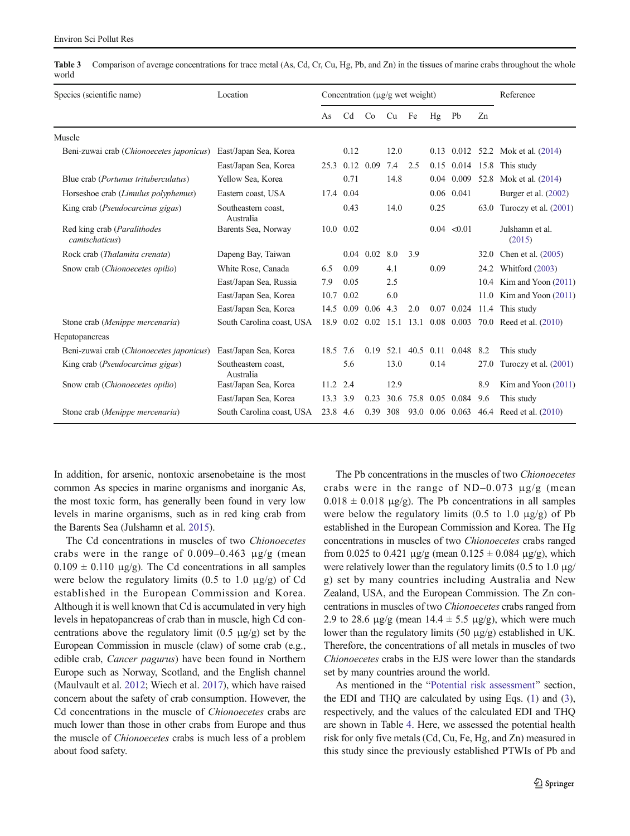<span id="page-6-0"></span>Table 3 Comparison of average concentrations for trace metal (As, Cd, Cr, Cu, Hg, Pb, and Zn) in the tissues of marine crabs throughout the whole world

| Species (scientific name)                             | Location                         | Concentration $(\mu g/g$ wet weight) |                |             |      |           |      |                 | Reference |                                         |
|-------------------------------------------------------|----------------------------------|--------------------------------------|----------------|-------------|------|-----------|------|-----------------|-----------|-----------------------------------------|
|                                                       |                                  | As                                   | C <sub>d</sub> | Co          | Cu   | Fe        | Hg   | Pb              | Zn        |                                         |
| Muscle                                                |                                  |                                      |                |             |      |           |      |                 |           |                                         |
| Beni-zuwai crab (Chionoecetes japonicus)              | East/Japan Sea, Korea            |                                      | 0.12           |             | 12.0 |           |      |                 |           | $0.13$ $0.012$ $52.2$ Mok et al. (2014) |
|                                                       | East/Japan Sea, Korea            | 25.3                                 | 0.12           | 0.09        | 7.4  | 2.5       | 0.15 | 0.014           | 15.8      | This study                              |
| Blue crab ( <i>Portunus trituberculatus</i> )         | Yellow Sea, Korea                |                                      | 0.71           |             | 14.8 |           |      | 0.04 0.009      | 52.8      | Mok et al. (2014)                       |
| Horseshoe crab (Limulus polyphemus)                   | Eastern coast, USA               | 17.4                                 | 0.04           |             |      |           |      | 0.06 0.041      |           | Burger et al. (2002)                    |
| King crab ( <i>Pseudocarcinus gigas</i> )             | Southeastern coast,<br>Australia |                                      | 0.43           |             | 14.0 |           | 0.25 |                 | 63.0      | Turoczy et al. $(2001)$                 |
| Red king crab ( <i>Paralithodes</i><br>camtschaticus) | Barents Sea, Norway              |                                      | 10.0 0.02      |             |      |           |      | 0.04 < 0.01     |           | Julshamn et al.<br>(2015)               |
| Rock crab (Thalamita crenata)                         | Dapeng Bay, Taiwan               |                                      |                | $0.04$ 0.02 | 8.0  | 3.9       |      |                 | 32.0      | Chen et al. (2005)                      |
| Snow crab (Chionoecetes opilio)                       | White Rose, Canada               | 6.5                                  | 0.09           |             | 4.1  |           | 0.09 |                 | 24.2      | Whitford (2003)                         |
|                                                       | East/Japan Sea, Russia           | 7.9                                  | 0.05           |             | 2.5  |           |      |                 |           | 10.4 Kim and Yoon (2011)                |
|                                                       | East/Japan Sea, Korea            | 10.7                                 | 0.02           |             | 6.0  |           |      |                 | 11.0      | Kim and Yoon $(2011)$                   |
|                                                       | East/Japan Sea, Korea            | 14.5                                 | 0.09           | 0.06        | 4.3  | 2.0       |      | 0.07 0.024      | 11.4      | This study                              |
| Stone crab (Menippe mercenaria)                       | South Carolina coast, USA        |                                      | 18.9 0.02 0.02 |             | 15.1 | 13.1      |      | 0.08 0.003      |           | 70.0 Reed et al. (2010)                 |
| Hepatopancreas                                        |                                  |                                      |                |             |      |           |      |                 |           |                                         |
| Beni-zuwai crab (Chionoecetes japonicus)              | East/Japan Sea, Korea            | 18.5                                 | 7.6            | 0.19        |      | 52.1 40.5 |      | 0.11 0.048      | 8.2       | This study                              |
| King crab ( <i>Pseudocarcinus gigas</i> )             | Southeastern coast.<br>Australia |                                      | 5.6            |             | 13.0 |           | 0.14 |                 | 27.0      | Turoczy et al. $(2001)$                 |
| Snow crab (Chionoecetes opilio)                       | East/Japan Sea, Korea            | 11.2                                 | 2.4            |             | 12.9 |           |      |                 | 8.9       | Kim and Yoon (2011)                     |
|                                                       | East/Japan Sea, Korea            | 13.3                                 | 3.9            | 0.23        | 30.6 | 75.8      |      | 0.05 0.084      | 9.6       | This study                              |
| Stone crab (Menippe mercenaria)                       | South Carolina coast, USA        | 23.8 4.6                             |                | 0.39        | 308  |           |      | 93.0 0.06 0.063 |           | 46.4 Reed et al. (2010)                 |

In addition, for arsenic, nontoxic arsenobetaine is the most common As species in marine organisms and inorganic As, the most toxic form, has generally been found in very low levels in marine organisms, such as in red king crab from the Barents Sea (Julshamn et al. [2015\)](#page-8-0).

The Cd concentrations in muscles of two Chionoecetes crabs were in the range of  $0.009-0.463 \mu g/g$  (mean  $0.109 \pm 0.110 \mu g/g$ ). The Cd concentrations in all samples were below the regulatory limits (0.5 to 1.0  $\mu$ g/g) of Cd established in the European Commission and Korea. Although it is well known that Cd is accumulated in very high levels in hepatopancreas of crab than in muscle, high Cd concentrations above the regulatory limit  $(0.5 \text{ µg/g})$  set by the European Commission in muscle (claw) of some crab (e.g., edible crab, Cancer pagurus) have been found in Northern Europe such as Norway, Scotland, and the English channel (Maulvault et al. [2012](#page-8-0); Wiech et al. [2017\)](#page-9-0), which have raised concern about the safety of crab consumption. However, the Cd concentrations in the muscle of Chionoecetes crabs are much lower than those in other crabs from Europe and thus the muscle of Chionoecetes crabs is much less of a problem about food safety.

The Pb concentrations in the muscles of two Chionoecetes crabs were in the range of ND–0.073  $\mu$ g/g (mean  $0.018 \pm 0.018$  μg/g). The Pb concentrations in all samples were below the regulatory limits (0.5 to 1.0  $\mu$ g/g) of Pb established in the European Commission and Korea. The Hg concentrations in muscles of two Chionoecetes crabs ranged from 0.025 to 0.421  $\mu$ g/g (mean 0.125  $\pm$  0.084  $\mu$ g/g), which were relatively lower than the regulatory limits (0.5 to 1.0  $\mu$ g/ g) set by many countries including Australia and New Zealand, USA, and the European Commission. The Zn concentrations in muscles of two Chionoecetes crabs ranged from 2.9 to 28.6  $\mu$ g/g (mean 14.4  $\pm$  5.5  $\mu$ g/g), which were much lower than the regulatory limits (50 μg/g) established in UK. Therefore, the concentrations of all metals in muscles of two Chionoecetes crabs in the EJS were lower than the standards set by many countries around the world.

As mentioned in the "[Potential risk assessment](#page-2-0)" section, the EDI and THQ are calculated by using Eqs. ([1](#page-2-0)) and ([3\)](#page-3-0), respectively, and the values of the calculated EDI and THQ are shown in Table [4](#page-7-0). Here, we assessed the potential health risk for only five metals (Cd, Cu, Fe, Hg, and Zn) measured in this study since the previously established PTWIs of Pb and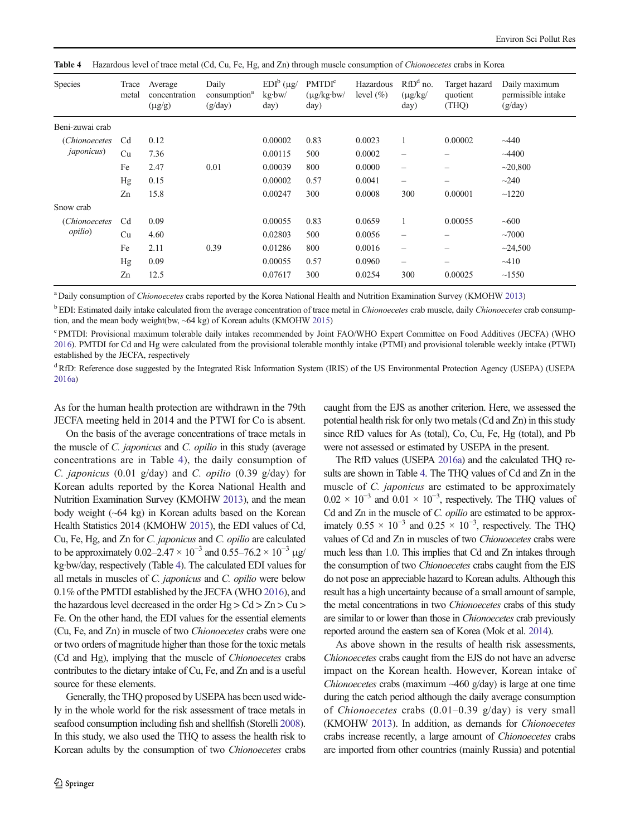| <b>Species</b>                   | Trace<br>metal | Average<br>concentration<br>$(\mu g/g)$ | Daily<br>consumption <sup>a</sup><br>(g/day) | $EDI^b$ (µg/<br>kg·bw/<br>day) | <b>PMTDI</b> <sup>c</sup><br>$(\mu g/kg\cdot bw)$<br>day) | Hazardous<br>level $(\% )$ | $RfDd$ no.<br>$(\mu g/kg)$<br>day) | Target hazard<br>quotient<br>(THQ) | Daily maximum<br>permissible intake<br>(g/day) |
|----------------------------------|----------------|-----------------------------------------|----------------------------------------------|--------------------------------|-----------------------------------------------------------|----------------------------|------------------------------------|------------------------------------|------------------------------------------------|
| Beni-zuwai crab                  |                |                                         |                                              |                                |                                                           |                            |                                    |                                    |                                                |
| <i>(Chionoecetes)</i>            | C <sub>d</sub> | 0.12                                    |                                              | 0.00002                        | 0.83                                                      | 0.0023                     |                                    | 0.00002                            | ~1440                                          |
| <i>japonicus</i> )               | Cu             | 7.36                                    |                                              | 0.00115                        | 500                                                       | 0.0002                     |                                    |                                    | $-4400$                                        |
|                                  | Fe             | 2.47                                    | 0.01                                         | 0.00039                        | 800                                                       | 0.0000                     | $\overline{\phantom{0}}$           | —                                  | ~20,800                                        |
|                                  | Hg             | 0.15                                    |                                              | 0.00002                        | 0.57                                                      | 0.0041                     | -                                  | —                                  | $\sim$ 240                                     |
|                                  | Zn             | 15.8                                    |                                              | 0.00247                        | 300                                                       | 0.0008                     | 300                                | 0.00001                            | ~1220                                          |
| Snow crab                        |                |                                         |                                              |                                |                                                           |                            |                                    |                                    |                                                |
| (Chionoecetes<br><i>opilio</i> ) | C <sub>d</sub> | 0.09                                    |                                              | 0.00055                        | 0.83                                                      | 0.0659                     |                                    | 0.00055                            | ~1000                                          |
|                                  | Cu             | 4.60                                    |                                              | 0.02803                        | 500                                                       | 0.0056                     | $\overline{\phantom{m}}$           |                                    | ~1000                                          |
|                                  | Fe             | 2.11                                    | 0.39                                         | 0.01286                        | 800                                                       | 0.0016                     | $\qquad \qquad -$                  |                                    | ~24,500                                        |
|                                  | Hg             | 0.09                                    |                                              | 0.00055                        | 0.57                                                      | 0.0960                     | $\qquad \qquad -$                  | -                                  | $-410$                                         |
|                                  | Zn             | 12.5                                    |                                              | 0.07617                        | 300                                                       | 0.0254                     | 300                                | 0.00025                            | ~1550                                          |

<span id="page-7-0"></span>Table 4 Hazardous level of trace metal (Cd, Cu, Fe, Hg, and Zn) through muscle consumption of Chionoecetes crabs in Korea

<sup>a</sup> Daily consumption of Chionoecetes crabs reported by the Korea National Health and Nutrition Examination Survey (KMOHW [2013](#page-8-0))

<sup>b</sup> EDI: Estimated daily intake calculated from the average concentration of trace metal in Chionoecetes crab muscle, daily Chionoecetes crab consumption, and the mean body weight(bw, ~64 kg) of Korean adults (KMOHW [2015](#page-8-0))

<sup>c</sup> PMTDI: Provisional maximum tolerable daily intakes recommended by Joint FAO/WHO Expert Committee on Food Additives (JECFA) (WHO [2016\)](#page-9-0). PMTDI for Cd and Hg were calculated from the provisional tolerable monthly intake (PTMI) and provisional tolerable weekly intake (PTWI) established by the JECFA, respectively

<sup>d</sup>RfD: Reference dose suggested by the Integrated Risk Information System (IRIS) of the US Environmental Protection Agency (USEPA) (USEPA [2016a](#page-9-0))

As for the human health protection are withdrawn in the 79th JECFA meeting held in 2014 and the PTWI for Co is absent.

On the basis of the average concentrations of trace metals in the muscle of C. japonicus and C. opilio in this study (average concentrations are in Table 4), the daily consumption of C. japonicus (0.01 g/day) and C. opilio (0.39 g/day) for Korean adults reported by the Korea National Health and Nutrition Examination Survey (KMOHW [2013\)](#page-8-0), and the mean body weight (~64 kg) in Korean adults based on the Korean Health Statistics 2014 (KMOHW [2015](#page-8-0)), the EDI values of Cd, Cu, Fe, Hg, and Zn for C. japonicus and C. opilio are calculated to be approximately 0.02–2.47 ×  $10^{-3}$  and 0.55–76.2 ×  $10^{-3}$  µg/ kg·bw/day, respectively (Table 4). The calculated EDI values for all metals in muscles of C. japonicus and C. opilio were below 0.1% of the PMTDI established by the JECFA (WHO [2016](#page-9-0)), and the hazardous level decreased in the order  $Hg > Cd > Zn > Cu >$ Fe. On the other hand, the EDI values for the essential elements (Cu, Fe, and Zn) in muscle of two Chionoecetes crabs were one or two orders of magnitude higher than those for the toxic metals (Cd and Hg), implying that the muscle of Chionoecetes crabs contributes to the dietary intake of Cu, Fe, and Zn and is a useful source for these elements.

Generally, the THQ proposed by USEPA has been used widely in the whole world for the risk assessment of trace metals in seafood consumption including fish and shellfish (Storelli [2008\)](#page-9-0). In this study, we also used the THQ to assess the health risk to Korean adults by the consumption of two Chionoecetes crabs caught from the EJS as another criterion. Here, we assessed the potential health risk for only two metals (Cd and Zn) in this study since RfD values for As (total), Co, Cu, Fe, Hg (total), and Pb were not assessed or estimated by USEPA in the present.

The RfD values (USEPA [2016a\)](#page-9-0) and the calculated THQ results are shown in Table 4. The THQ values of Cd and Zn in the muscle of *C. japonicus* are estimated to be approximately  $0.02 \times 10^{-3}$  and  $0.01 \times 10^{-3}$ , respectively. The THQ values of Cd and Zn in the muscle of C. opilio are estimated to be approximately  $0.55 \times 10^{-3}$  and  $0.25 \times 10^{-3}$ , respectively. The THQ values of Cd and Zn in muscles of two Chionoecetes crabs were much less than 1.0. This implies that Cd and Zn intakes through the consumption of two Chionoecetes crabs caught from the EJS do not pose an appreciable hazard to Korean adults. Although this result has a high uncertainty because of a small amount of sample, the metal concentrations in two Chionoecetes crabs of this study are similar to or lower than those in Chionoecetes crab previously reported around the eastern sea of Korea (Mok et al. [2014](#page-8-0)).

As above shown in the results of health risk assessments, Chionoecetes crabs caught from the EJS do not have an adverse impact on the Korean health. However, Korean intake of *Chionoecetes* crabs (maximum  $\sim$ 460 g/day) is large at one time during the catch period although the daily average consumption of *Chionoecetes* crabs  $(0.01-0.39 \text{ g/day})$  is very small (KMOHW [2013](#page-8-0)). In addition, as demands for Chionoecetes crabs increase recently, a large amount of Chionoecetes crabs are imported from other countries (mainly Russia) and potential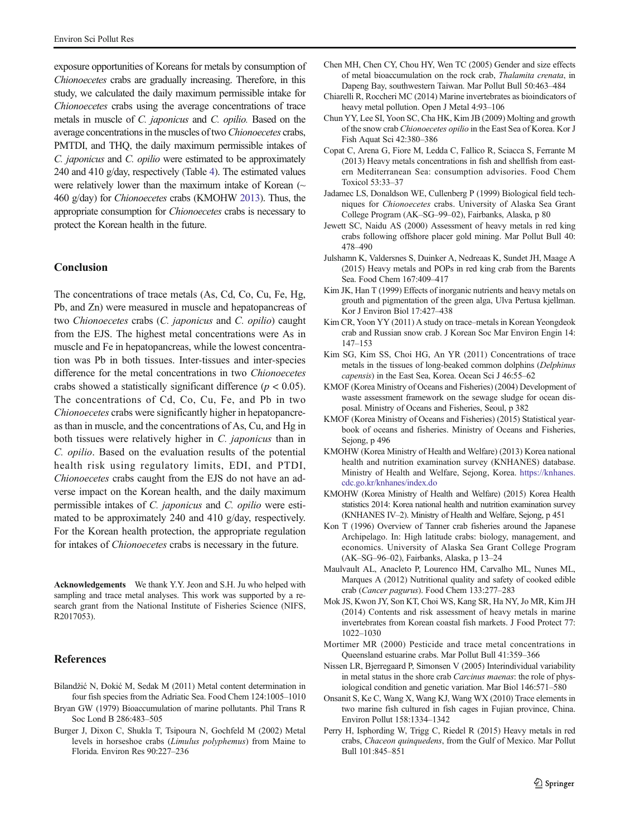<span id="page-8-0"></span>exposure opportunities of Koreans for metals by consumption of Chionoecetes crabs are gradually increasing. Therefore, in this study, we calculated the daily maximum permissible intake for Chionoecetes crabs using the average concentrations of trace metals in muscle of C. japonicus and C. opilio. Based on the average concentrations in the muscles of two Chionoecetes crabs, PMTDI, and THQ, the daily maximum permissible intakes of C. japonicus and C. opilio were estimated to be approximately 240 and 410 g/day, respectively (Table [4\)](#page-7-0). The estimated values were relatively lower than the maximum intake of Korean  $($ 460 g/day) for Chionoecetes crabs (KMOHW 2013). Thus, the appropriate consumption for Chionoecetes crabs is necessary to protect the Korean health in the future.

# Conclusion

The concentrations of trace metals (As, Cd, Co, Cu, Fe, Hg, Pb, and Zn) were measured in muscle and hepatopancreas of two Chionoecetes crabs (C. japonicus and C. opilio) caught from the EJS. The highest metal concentrations were As in muscle and Fe in hepatopancreas, while the lowest concentration was Pb in both tissues. Inter-tissues and inter-species difference for the metal concentrations in two Chionoecetes crabs showed a statistically significant difference ( $p < 0.05$ ). The concentrations of Cd, Co, Cu, Fe, and Pb in two Chionoecetes crabs were significantly higher in hepatopancreas than in muscle, and the concentrations of As, Cu, and Hg in both tissues were relatively higher in C. japonicus than in C. opilio. Based on the evaluation results of the potential health risk using regulatory limits, EDI, and PTDI, Chionoecetes crabs caught from the EJS do not have an adverse impact on the Korean health, and the daily maximum permissible intakes of C. japonicus and C. opilio were estimated to be approximately 240 and 410 g/day, respectively. For the Korean health protection, the appropriate regulation for intakes of *Chionoecetes* crabs is necessary in the future.

Acknowledgements We thank Y.Y. Jeon and S.H. Ju who helped with sampling and trace metal analyses. This work was supported by a research grant from the National Institute of Fisheries Science (NIFS, R2017053).

## **References**

- Bilandžić N, Đokić M, Sedak M (2011) Metal content determination in four fish species from the Adriatic Sea. Food Chem 124:1005–1010
- Bryan GW (1979) Bioaccumulation of marine pollutants. Phil Trans R Soc Lond B 286:483–505
- Burger J, Dixon C, Shukla T, Tsipoura N, Gochfeld M (2002) Metal levels in horseshoe crabs (Limulus polyphemus) from Maine to Florida. Environ Res 90:227–236
- Chen MH, Chen CY, Chou HY, Wen TC (2005) Gender and size effects of metal bioaccumulation on the rock crab, Thalamita crenata, in Dapeng Bay, southwestern Taiwan. Mar Pollut Bull 50:463–484
- Chiarelli R, Roccheri MC (2014) Marine invertebrates as bioindicators of heavy metal pollution. Open J Metal 4:93–106
- Chun YY, Lee SI, Yoon SC, Cha HK, Kim JB (2009) Molting and growth of the snow crab Chionoecetes opilio in the East Sea of Korea. Kor J Fish Aquat Sci 42:380–386
- Copat C, Arena G, Fiore M, Ledda C, Fallico R, Sciacca S, Ferrante M (2013) Heavy metals concentrations in fish and shellfish from eastern Mediterranean Sea: consumption advisories. Food Chem Toxicol 53:33–37
- Jadamec LS, Donaldson WE, Cullenberg P (1999) Biological field techniques for Chionoecetes crabs. University of Alaska Sea Grant College Program (AK–SG–99–02), Fairbanks, Alaska, p 80
- Jewett SC, Naidu AS (2000) Assessment of heavy metals in red king crabs following offshore placer gold mining. Mar Pollut Bull 40: 478–490
- Julshamn K, Valdersnes S, Duinker A, Nedreaas K, Sundet JH, Maage A (2015) Heavy metals and POPs in red king crab from the Barents Sea. Food Chem 167:409–417
- Kim JK, Han T (1999) Effects of inorganic nutrients and heavy metals on grouth and pigmentation of the green alga, Ulva Pertusa kjellman. Kor J Environ Biol 17:427–438
- Kim CR, Yoon YY (2011) A study on trace–metals in Korean Yeongdeok crab and Russian snow crab. J Korean Soc Mar Environ Engin 14: 147–153
- Kim SG, Kim SS, Choi HG, An YR (2011) Concentrations of trace metals in the tissues of long-beaked common dolphins (Delphinus capensis) in the East Sea, Korea. Ocean Sci J 46:55–62
- KMOF (Korea Ministry of Oceans and Fisheries) (2004) Development of waste assessment framework on the sewage sludge for ocean disposal. Ministry of Oceans and Fisheries, Seoul, p 382
- KMOF (Korea Ministry of Oceans and Fisheries) (2015) Statistical yearbook of oceans and fisheries. Ministry of Oceans and Fisheries, Sejong, p 496
- KMOHW (Korea Ministry of Health and Welfare) (2013) Korea national health and nutrition examination survey (KNHANES) database. Ministry of Health and Welfare, Sejong, Korea. [https://knhanes.](https://knhanes.cdc.go.kr/knhanes/index.do) [cdc.go.kr/knhanes/index.do](https://knhanes.cdc.go.kr/knhanes/index.do)
- KMOHW (Korea Ministry of Health and Welfare) (2015) Korea Health statistics 2014: Korea national health and nutrition examination survey (KNHANES IV–2). Ministry of Health and Welfare, Sejong, p 451
- Kon T (1996) Overview of Tanner crab fisheries around the Japanese Archipelago. In: High latitude crabs: biology, management, and economics. University of Alaska Sea Grant College Program (AK–SG–96–02), Fairbanks, Alaska, p 13–24
- Maulvault AL, Anacleto P, Lourenco HM, Carvalho ML, Nunes ML, Marques A (2012) Nutritional quality and safety of cooked edible crab (Cancer pagurus). Food Chem 133:277–283
- Mok JS, Kwon JY, Son KT, Choi WS, Kang SR, Ha NY, Jo MR, Kim JH (2014) Contents and risk assessment of heavy metals in marine invertebrates from Korean coastal fish markets. J Food Protect 77: 1022–1030
- Mortimer MR (2000) Pesticide and trace metal concentrations in Queensland estuarine crabs. Mar Pollut Bull 41:359–366
- Nissen LR, Bjerregaard P, Simonsen V (2005) Interindividual variability in metal status in the shore crab Carcinus maenas: the role of physiological condition and genetic variation. Mar Biol 146:571–580
- Onsanit S, Ke C, Wang X, Wang KJ, Wang WX (2010) Trace elements in two marine fish cultured in fish cages in Fujian province, China. Environ Pollut 158:1334–1342
- Perry H, Isphording W, Trigg C, Riedel R (2015) Heavy metals in red crabs, Chaceon quinquedens, from the Gulf of Mexico. Mar Pollut Bull 101:845–851